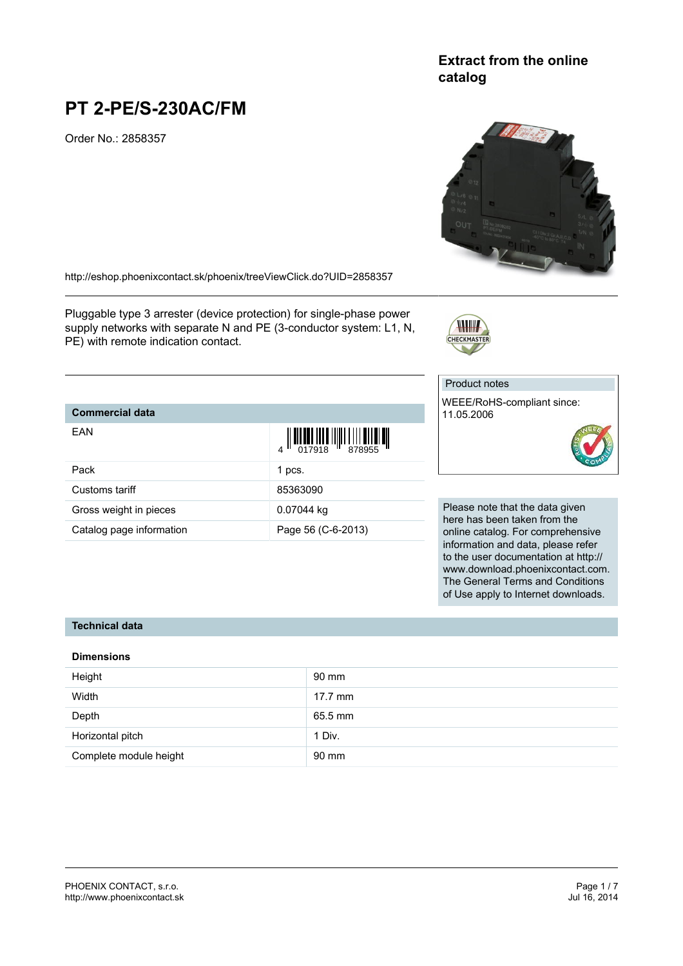# **Extract from the online catalog**

# **PT 2-PE/S-230AC/FM**

Order No.: 2858357

<http://eshop.phoenixcontact.sk/phoenix/treeViewClick.do?UID=2858357>

Pluggable type 3 arrester (device protection) for single-phase power supply networks with separate N and PE (3-conductor system: L1, N, PE) with remote indication contact.

# Product notes

WEEE/RoHS-compliant since: 11.05.2006

Please note that the data given here has been taken from the online catalog. For comprehensive information and data, please refer to the user documentation at http:// www.download.phoenixcontact.com. The General Terms and Conditions of Use apply to Internet downloads.

#### **Technical data**

**Commercial data**

EAN

#### **Dimensions**

| Height                 | 90 mm   |
|------------------------|---------|
| Width                  | 17.7 mm |
| Depth                  | 65.5 mm |
| Horizontal pitch       | 1 Div.  |
| Complete module height | 90 mm   |





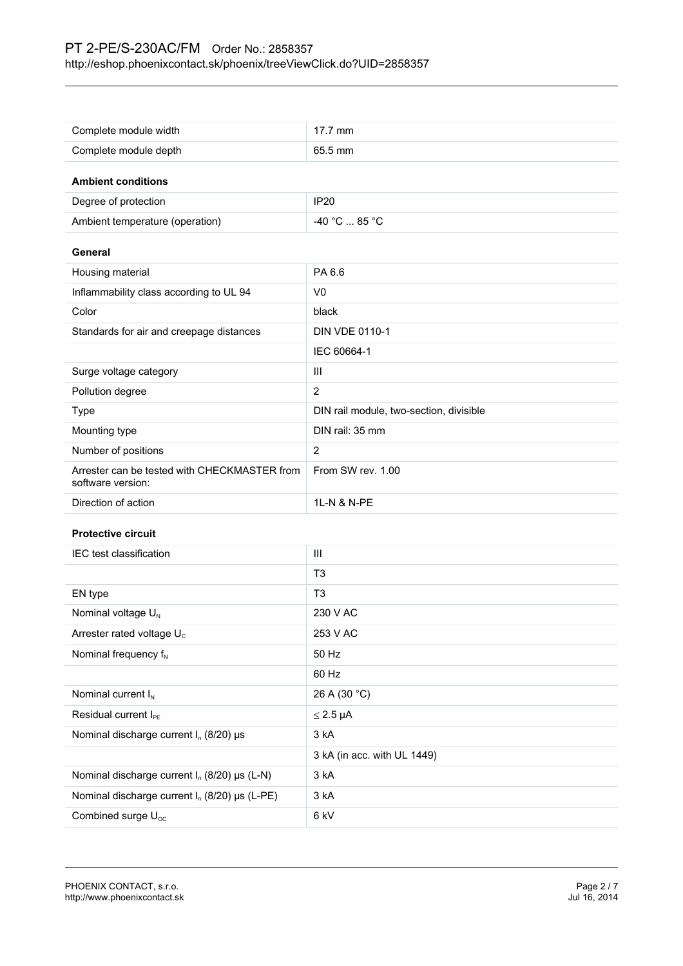| Complete module width                                             | 17.7 mm                                 |  |
|-------------------------------------------------------------------|-----------------------------------------|--|
| Complete module depth                                             | 65.5 mm                                 |  |
|                                                                   |                                         |  |
| <b>Ambient conditions</b>                                         |                                         |  |
| Degree of protection                                              | <b>IP20</b>                             |  |
| Ambient temperature (operation)                                   | -40 °C  85 °C                           |  |
| General                                                           |                                         |  |
| Housing material                                                  | PA 6.6                                  |  |
| Inflammability class according to UL 94                           | V <sub>0</sub>                          |  |
| Color                                                             | black                                   |  |
| Standards for air and creepage distances                          | <b>DIN VDE 0110-1</b>                   |  |
|                                                                   | IEC 60664-1                             |  |
| Surge voltage category                                            | III                                     |  |
| Pollution degree                                                  | $\overline{c}$                          |  |
| Type                                                              | DIN rail module, two-section, divisible |  |
| Mounting type                                                     | DIN rail: 35 mm                         |  |
| Number of positions                                               | $\overline{2}$                          |  |
| Arrester can be tested with CHECKMASTER from<br>software version: | From SW rev. 1.00                       |  |
| Direction of action                                               | 1L-N & N-PE                             |  |
| <b>Protective circuit</b>                                         |                                         |  |
| IEC test classification                                           | III                                     |  |
|                                                                   | T <sub>3</sub>                          |  |
| EN type                                                           | T <sub>3</sub>                          |  |
| Nominal voltage U <sub>N</sub>                                    | 230 V AC                                |  |
| Arrester rated voltage U <sub>c</sub>                             | 253 V AC                                |  |
| Nominal frequency $f_N$                                           | 50 Hz                                   |  |
|                                                                   | 60 Hz                                   |  |
| Nominal current I <sub>N</sub>                                    | 26 A (30 °C)                            |  |
| Residual current I <sub>PE</sub>                                  | $\leq$ 2.5 µA                           |  |
| Nominal discharge current $I_n$ (8/20) µs                         | 3 kA                                    |  |
|                                                                   | 3 kA (in acc. with UL 1449)             |  |
| Nominal discharge current $I_n$ (8/20) $\mu s$ (L-N)              | 3 kA                                    |  |
| Nominal discharge current $I_n$ (8/20) µs (L-PE)                  | 3 kA                                    |  |
| Combined surge U <sub>oc</sub>                                    | 6 kV                                    |  |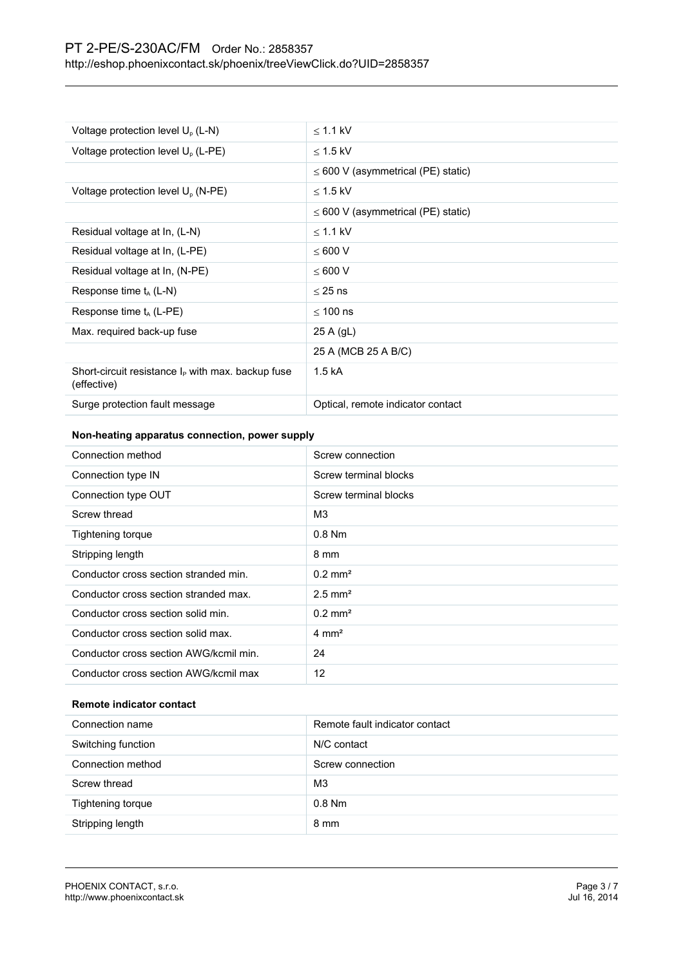| Voltage protection level $U_{o}$ (L-N)                              | $<$ 1.1 kV                              |
|---------------------------------------------------------------------|-----------------------------------------|
| Voltage protection level U <sub>o</sub> (L-PE)                      | $\leq$ 1.5 kV                           |
|                                                                     | $\leq$ 600 V (asymmetrical (PE) static) |
| Voltage protection level U <sub>o</sub> (N-PE)                      | $<$ 1.5 kV                              |
|                                                                     | $\leq$ 600 V (asymmetrical (PE) static) |
| Residual voltage at In, (L-N)                                       | $\leq$ 1.1 kV                           |
| Residual voltage at In, (L-PE)                                      | < 600 V                                 |
| Residual voltage at In, (N-PE)                                      | $\leq 600$ V                            |
| Response time $t_{A}$ (L-N)                                         | $<$ 25 ns                               |
| Response time $t_A$ (L-PE)                                          | $< 100$ ns                              |
| Max. required back-up fuse                                          | $25$ A (gL)                             |
|                                                                     | 25 A (MCB 25 A B/C)                     |
| Short-circuit resistance $I_P$ with max. backup fuse<br>(effective) | 1.5 kA                                  |
| Surge protection fault message                                      | Optical, remote indicator contact       |

# **Non-heating apparatus connection, power supply**

| Connection method                      | Screw connection      |
|----------------------------------------|-----------------------|
| Connection type IN                     | Screw terminal blocks |
| Connection type OUT                    | Screw terminal blocks |
| Screw thread                           | MЗ                    |
| Tightening torque                      | $0.8$ Nm              |
| Stripping length                       | 8 mm                  |
| Conductor cross section stranded min.  | $0.2 \text{ mm}^2$    |
| Conductor cross section stranded max.  | $2.5$ mm <sup>2</sup> |
| Conductor cross section solid min.     | $0.2$ mm <sup>2</sup> |
| Conductor cross section solid max.     | $4 \text{ mm}^2$      |
| Conductor cross section AWG/kcmil min. | 24                    |
| Conductor cross section AWG/kcmil max  | 12                    |

#### **Remote indicator contact**

| Connection name    | Remote fault indicator contact |
|--------------------|--------------------------------|
| Switching function | N/C contact                    |
| Connection method  | Screw connection               |
| Screw thread       | M <sub>3</sub>                 |
| Tightening torque  | $0.8$ Nm                       |
| Stripping length   | 8 mm                           |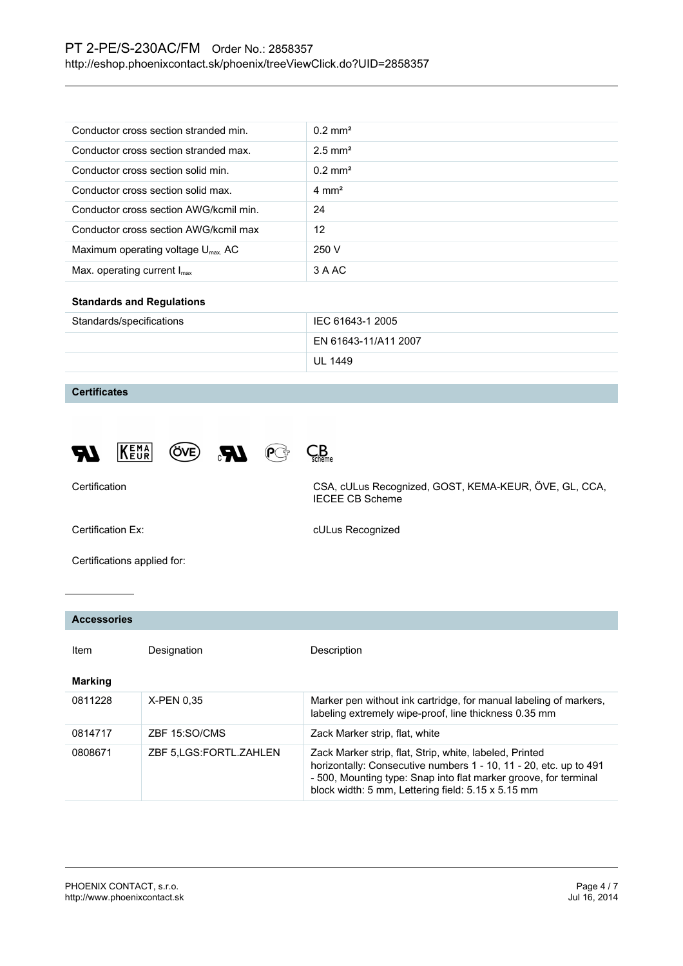| Conductor cross section stranded min.         | $0.2$ mm <sup>2</sup> |
|-----------------------------------------------|-----------------------|
| Conductor cross section stranded max.         | $2.5$ mm <sup>2</sup> |
| Conductor cross section solid min.            | $0.2 \text{ mm}^2$    |
| Conductor cross section solid max.            | $4 \text{ mm}^2$      |
| Conductor cross section AWG/kcmil min.        | 24                    |
| Conductor cross section AWG/kcmil max         | 12                    |
| Maximum operating voltage $U_{\text{max}}$ AC | 250 V                 |
| Max. operating current $I_{\text{max}}$       | 3 A AC                |

#### **Standards and Regulations**

| Standards/specifications | IEC 61643-1 2005     |
|--------------------------|----------------------|
|                          | EN 61643-11/A11 2007 |
|                          | UL 1449              |

### **Certificates**



Certification CSA, cULus Recognized, GOST, KEMA-KEUR, ÖVE, GL, CCA, IECEE CB Scheme

Certification Ex: Certification Ex: CULus Recognized

Certifications applied for:

#### **Accessories**

| Item           | Designation               | Description                                                                                                                                                                                                                                            |
|----------------|---------------------------|--------------------------------------------------------------------------------------------------------------------------------------------------------------------------------------------------------------------------------------------------------|
| <b>Marking</b> |                           |                                                                                                                                                                                                                                                        |
| 0811228        | X-PEN 0.35                | Marker pen without ink cartridge, for manual labeling of markers,<br>labeling extremely wipe-proof, line thickness 0.35 mm                                                                                                                             |
| 0814717        | ZBF 15:SO/CMS             | Zack Marker strip, flat, white                                                                                                                                                                                                                         |
| 0808671        | ZBF 5, LGS: FORTL. ZAHLEN | Zack Marker strip, flat, Strip, white, labeled, Printed<br>horizontally: Consecutive numbers 1 - 10, 11 - 20, etc. up to 491<br>- 500, Mounting type: Snap into flat marker groove, for terminal<br>block width: 5 mm, Lettering field: 5.15 x 5.15 mm |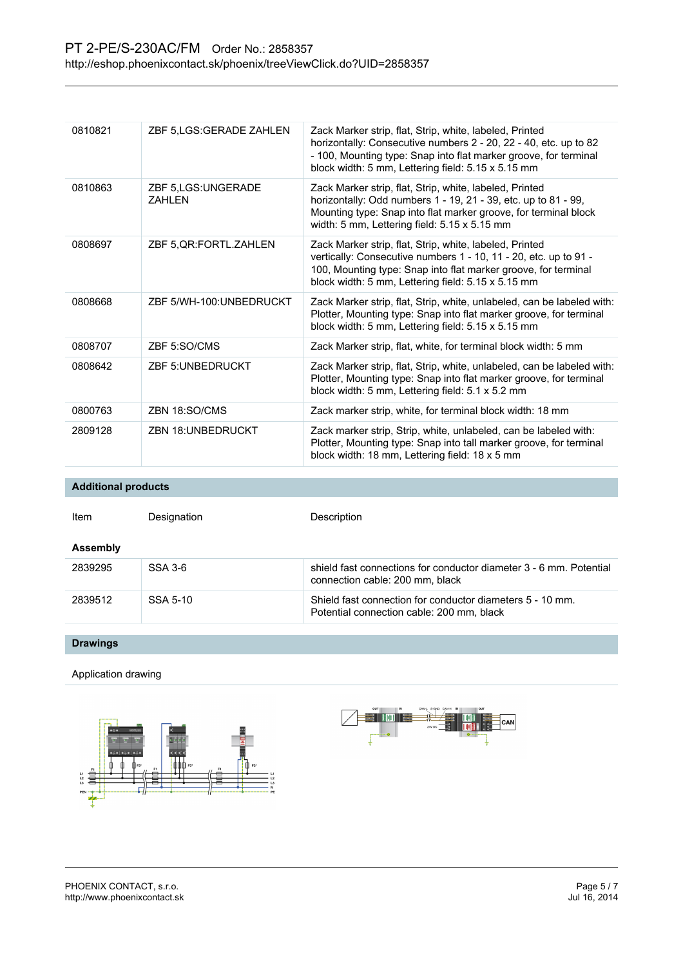| 0810821 | ZBF 5,LGS:GERADE ZAHLEN              | Zack Marker strip, flat, Strip, white, labeled, Printed<br>horizontally: Consecutive numbers 2 - 20, 22 - 40, etc. up to 82<br>- 100, Mounting type: Snap into flat marker groove, for terminal<br>block width: 5 mm, Lettering field: 5.15 x 5.15 mm |
|---------|--------------------------------------|-------------------------------------------------------------------------------------------------------------------------------------------------------------------------------------------------------------------------------------------------------|
| 0810863 | ZBF 5.LGS:UNGERADE<br><b>7AHI FN</b> | Zack Marker strip, flat, Strip, white, labeled, Printed<br>horizontally: Odd numbers 1 - 19, 21 - 39, etc. up to 81 - 99,<br>Mounting type: Snap into flat marker groove, for terminal block<br>width: 5 mm, Lettering field: 5.15 x 5.15 mm          |
| 0808697 | ZBF 5, QR: FORTL. ZAHLEN             | Zack Marker strip, flat, Strip, white, labeled, Printed<br>vertically: Consecutive numbers 1 - 10, 11 - 20, etc. up to 91 -<br>100, Mounting type: Snap into flat marker groove, for terminal<br>block width: 5 mm, Lettering field: 5.15 x 5.15 mm   |
| 0808668 | ZBF 5/WH-100:UNBEDRUCKT              | Zack Marker strip, flat, Strip, white, unlabeled, can be labeled with:<br>Plotter, Mounting type: Snap into flat marker groove, for terminal<br>block width: 5 mm, Lettering field: 5.15 x 5.15 mm                                                    |
| 0808707 | ZBF 5:SO/CMS                         | Zack Marker strip, flat, white, for terminal block width: 5 mm                                                                                                                                                                                        |
| 0808642 | <b>ZBF 5: UNBEDRUCKT</b>             | Zack Marker strip, flat, Strip, white, unlabeled, can be labeled with:<br>Plotter, Mounting type: Snap into flat marker groove, for terminal<br>block width: 5 mm, Lettering field: 5.1 x 5.2 mm                                                      |
| 0800763 | ZBN 18:SO/CMS                        | Zack marker strip, white, for terminal block width: 18 mm                                                                                                                                                                                             |
| 2809128 | <b>ZBN 18:UNBEDRUCKT</b>             | Zack marker strip, Strip, white, unlabeled, can be labeled with:<br>Plotter, Mounting type: Snap into tall marker groove, for terminal<br>block width: 18 mm, Lettering field: 18 x 5 mm                                                              |

**Additional products**

| Item     | Designation | Description                                                                                            |
|----------|-------------|--------------------------------------------------------------------------------------------------------|
| Assembly |             |                                                                                                        |
| 2839295  | SSA 3-6     | shield fast connections for conductor diameter 3 - 6 mm. Potential<br>connection cable: 200 mm, black  |
| 2839512  | SSA 5-10    | Shield fast connection for conductor diameters 5 - 10 mm.<br>Potential connection cable: 200 mm, black |

**Drawings**

Application drawing



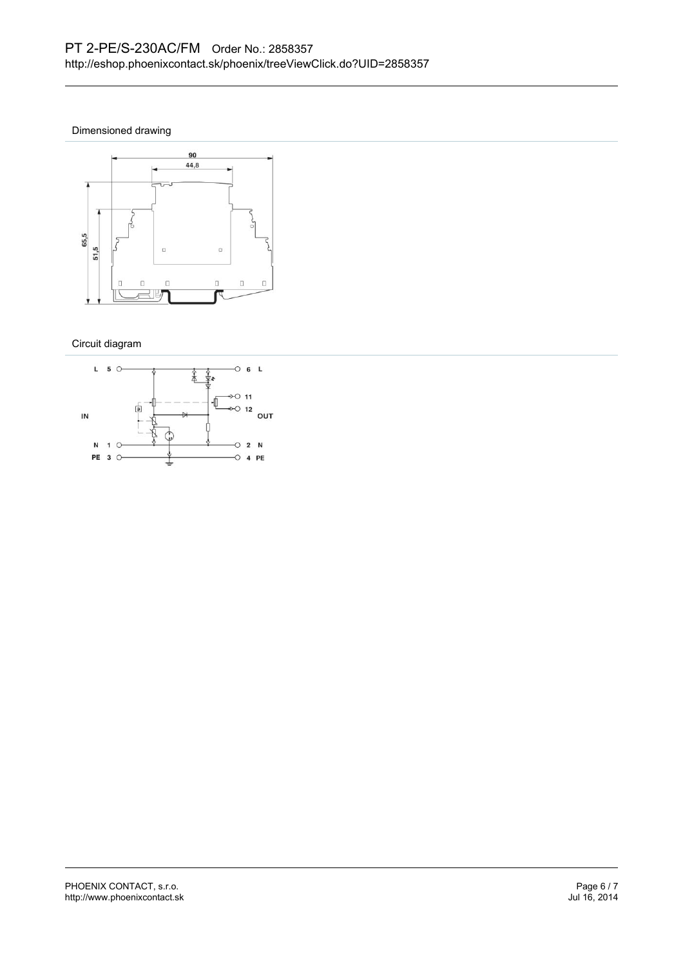Dimensioned drawing



Circuit diagram